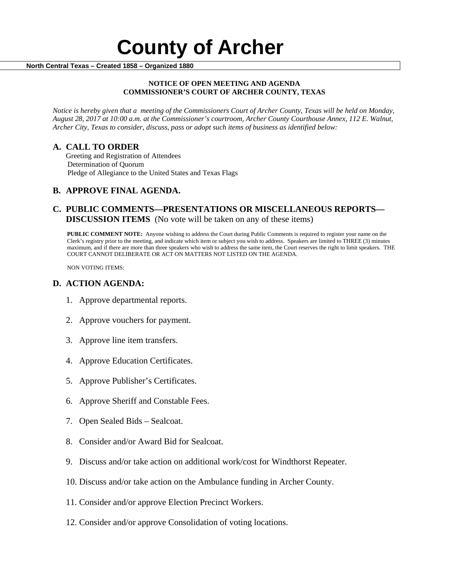#### **NOTICE OF OPEN MEETING AND AGENDA COMMISSIONER'S COURT OF ARCHER COUNTY, TEXAS**

*Notice is hereby given that a meeting of the Commissioners Court of Archer County, Texas will be held on Monday, August 28, 2017 at 10:00 a.m. at the Commissioner's courtroom, Archer County Courthouse Annex, 112 E. Walnut, Archer City, Texas to consider, discuss, pass or adopt such items of business as identified below:*

**A. CALL TO ORDER** Greeting and Registration of Attendees Determination of Quorum Pledge of Allegiance to the United States and Texas Flags

# **B. APPROVE FINAL AGENDA.**

# **C. PUBLIC COMMENTS—PRESENTATIONS OR MISCELLANEOUS REPORTS— DISCUSSION ITEMS** (No vote will be taken on any of these items)

**PUBLIC COMMENT NOTE:** Anyone wishing to address the Court during Public Comments is required to register your name on the Clerk's registry prior to the meeting, and indicate which item or subject you wish to address. Speakers are limited to THREE (3) minutes maximum, and if there are more than three speakers who wish to address the same item, the Court reserves the right to limit speakers. THE COURT CANNOT DELIBERATE OR ACT ON MATTERS NOT LISTED ON THE AGENDA.

NON VOTING ITEMS:

### **D. ACTION AGENDA:**

- 1. Approve departmental reports.
- 2. Approve vouchers for payment.
- 3. Approve line item transfers.
- 4. Approve Education Certificates.
- 5. Approve Publisher's Certificates.
- 6. Approve Sheriff and Constable Fees.
- 7. Open Sealed Bids Sealcoat.
- 8. Consider and/or Award Bid for Sealcoat.
- 9. Discuss and/or take action on additional work/cost for Windthorst Repeater.
- 10. Discuss and/or take action on the Ambulance funding in Archer County.
- 11. Consider and/or approve Election Precinct Workers.
- 12. Consider and/or approve Consolidation of voting locations.